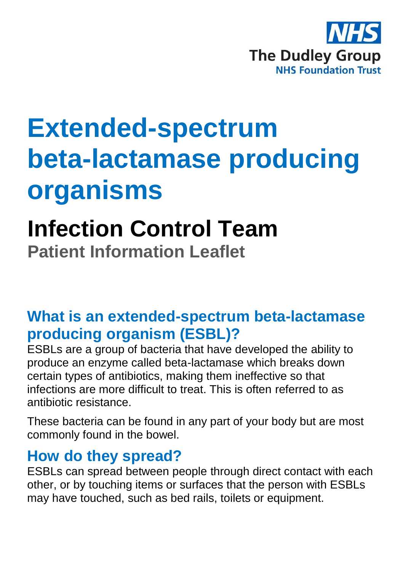

# **Extended-spectrum beta-lactamase producing organisms**

## **Infection Control Team**

**Patient Information Leaflet**

#### **What is an extended-spectrum beta-lactamase producing organism (ESBL)?**

ESBLs are a group of bacteria that have developed the ability to produce an enzyme called beta-lactamase which breaks down certain types of antibiotics, making them ineffective so that infections are more difficult to treat. This is often referred to as antibiotic resistance.

These bacteria can be found in any part of your body but are most commonly found in the bowel.

#### **How do they spread?**

ESBLs can spread between people through direct contact with each other, or by touching items or surfaces that the person with ESBLs may have touched, such as bed rails, toilets or equipment.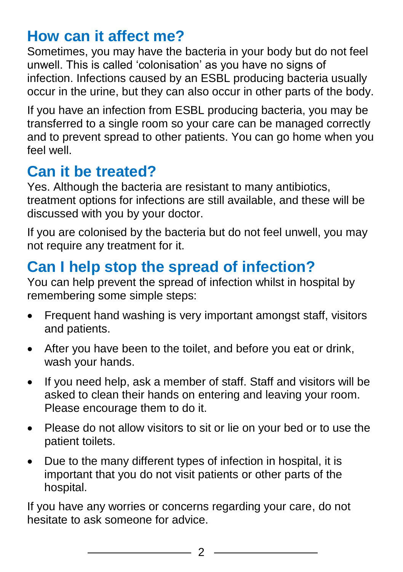#### **How can it affect me?**

Sometimes, you may have the bacteria in your body but do not feel unwell. This is called 'colonisation' as you have no signs of infection. Infections caused by an ESBL producing bacteria usually occur in the urine, but they can also occur in other parts of the body.

If you have an infection from ESBL producing bacteria, you may be transferred to a single room so your care can be managed correctly and to prevent spread to other patients. You can go home when you feel well.

#### **Can it be treated?**

Yes. Although the bacteria are resistant to many antibiotics, treatment options for infections are still available, and these will be discussed with you by your doctor.

If you are colonised by the bacteria but do not feel unwell, you may not require any treatment for it.

### **Can I help stop the spread of infection?**

You can help prevent the spread of infection whilst in hospital by remembering some simple steps:

- Frequent hand washing is very important amongst staff, visitors and patients.
- After you have been to the toilet, and before you eat or drink, wash your hands.
- If you need help, ask a member of staff. Staff and visitors will be asked to clean their hands on entering and leaving your room. Please encourage them to do it.
- Please do not allow visitors to sit or lie on your bed or to use the patient toilets.
- Due to the many different types of infection in hospital, it is important that you do not visit patients or other parts of the hospital.

If you have any worries or concerns regarding your care, do not hesitate to ask someone for advice.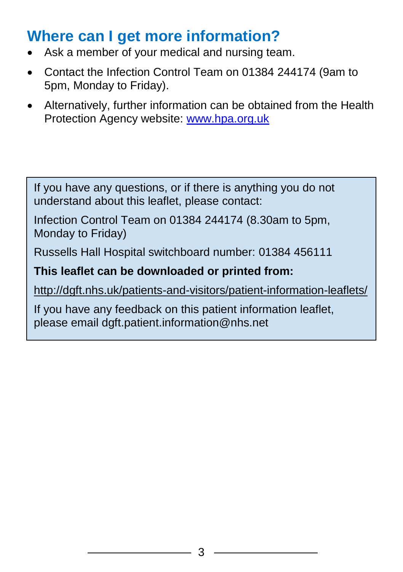#### **Where can I get more information?**

- Ask a member of your medical and nursing team.
- Contact the Infection Control Team on 01384 244174 (9am to 5pm, Monday to Friday).
- Alternatively, further information can be obtained from the Health Protection Agency website: [www.hpa.org.uk](http://www.hpa.org.uk/)

If you have any questions, or if there is anything you do not understand about this leaflet, please contact:

Infection Control Team on 01384 244174 (8.30am to 5pm, Monday to Friday)

Russells Hall Hospital switchboard number: 01384 456111

#### **This leaflet can be downloaded or printed from:**

<http://dgft.nhs.uk/patients-and-visitors/patient-information-leaflets/>

If you have any feedback on this patient information leaflet, please email dgft.patient.information@nhs.net